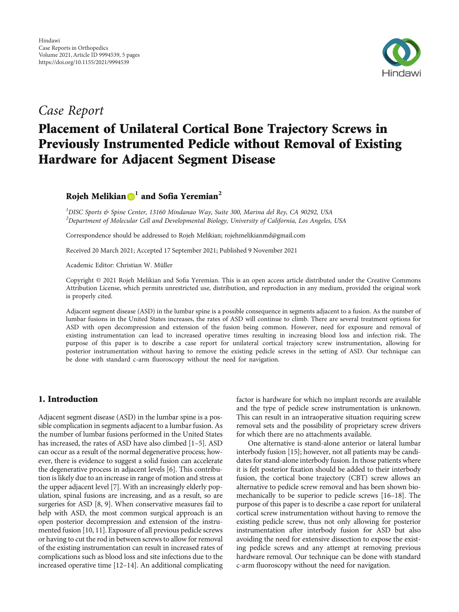

# Case Report

# Placement of Unilateral Cortical Bone Trajectory Screws in Previously Instrumented Pedicle without Removal of Existing Hardware for Adjacent Segment Disease

Rojeh Melikian **<sup>1</sup>** and Sofia Yeremian**<sup>2</sup>**

<sup>1</sup>DISC Sports & Spine Center, 13160 Mindanao Way, Suite 300, Marina del Rey, CA 90292, USA  $^2$ Department of Molecular Cell and Developmental Biology, University of California, Los Angeles, USA

Correspondence should be addressed to Rojeh Melikian; rojehmelikianmd@gmail.com

Received 20 March 2021; Accepted 17 September 2021; Published 9 November 2021

Academic Editor: Christian W. Müller

Copyright © 2021 Rojeh Melikian and Sofia Yeremian. This is an open access article distributed under the [Creative Commons](https://creativecommons.org/licenses/by/4.0/) [Attribution License](https://creativecommons.org/licenses/by/4.0/), which permits unrestricted use, distribution, and reproduction in any medium, provided the original work is properly cited.

Adjacent segment disease (ASD) in the lumbar spine is a possible consequence in segments adjacent to a fusion. As the number of lumbar fusions in the United States increases, the rates of ASD will continue to climb. There are several treatment options for ASD with open decompression and extension of the fusion being common. However, need for exposure and removal of existing instrumentation can lead to increased operative times resulting in increasing blood loss and infection risk. The purpose of this paper is to describe a case report for unilateral cortical trajectory screw instrumentation, allowing for posterior instrumentation without having to remove the existing pedicle screws in the setting of ASD. Our technique can be done with standard c-arm fluoroscopy without the need for navigation.

# 1. Introduction

Adjacent segment disease (ASD) in the lumbar spine is a possible complication in segments adjacent to a lumbar fusion. As the number of lumbar fusions performed in the United States has increased, the rates of ASD have also climbed [[1](#page-3-0)–[5](#page-3-0)]. ASD can occur as a result of the normal degenerative process; however, there is evidence to suggest a solid fusion can accelerate the degenerative process in adjacent levels [\[6\]](#page-3-0). This contribution is likely due to an increase in range of motion and stress at the upper adjacent level [[7\]](#page-3-0). With an increasingly elderly population, spinal fusions are increasing, and as a result, so are surgeries for ASD [\[8, 9](#page-3-0)]. When conservative measures fail to help with ASD, the most common surgical approach is an open posterior decompression and extension of the instrumented fusion [\[10, 11](#page-3-0)]. Exposure of all previous pedicle screws or having to cut the rod in between screws to allow for removal of the existing instrumentation can result in increased rates of complications such as blood loss and site infections due to the increased operative time [\[12](#page-3-0)–[14](#page-3-0)]. An additional complicating

factor is hardware for which no implant records are available and the type of pedicle screw instrumentation is unknown. This can result in an intraoperative situation requiring screw removal sets and the possibility of proprietary screw drivers for which there are no attachments available.

One alternative is stand-alone anterior or lateral lumbar interbody fusion [\[15\]](#page-3-0); however, not all patients may be candidates for stand-alone interbody fusion. In those patients where it is felt posterior fixation should be added to their interbody fusion, the cortical bone trajectory (CBT) screw allows an alternative to pedicle screw removal and has been shown biomechanically to be superior to pedicle screws [\[16](#page-3-0)–[18](#page-3-0)]. The purpose of this paper is to describe a case report for unilateral cortical screw instrumentation without having to remove the existing pedicle screw, thus not only allowing for posterior instrumentation after interbody fusion for ASD but also avoiding the need for extensive dissection to expose the existing pedicle screws and any attempt at removing previous hardware removal. Our technique can be done with standard c-arm fluoroscopy without the need for navigation.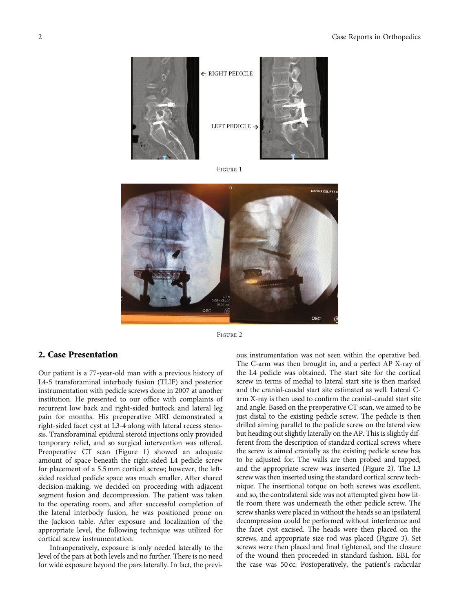

Figure <sup>1</sup>



Figure <sup>2</sup>

### 2. Case Presentation

Our patient is a 77-year-old man with a previous history of L4-5 transforaminal interbody fusion (TLIF) and posterior instrumentation with pedicle screws done in 2007 at another institution. He presented to our office with complaints of recurrent low back and right-sided buttock and lateral leg pain for months. His preoperative MRI demonstrated a right-sided facet cyst at L3-4 along with lateral recess stenosis. Transforaminal epidural steroid injections only provided temporary relief, and so surgical intervention was offered. Preoperative CT scan (Figure 1) showed an adequate amount of space beneath the right-sided L4 pedicle screw for placement of a 5.5 mm cortical screw; however, the leftsided residual pedicle space was much smaller. After shared decision-making, we decided on proceeding with adjacent segment fusion and decompression. The patient was taken to the operating room, and after successful completion of the lateral interbody fusion, he was positioned prone on the Jackson table. After exposure and localization of the appropriate level, the following technique was utilized for cortical screw instrumentation.

Intraoperatively, exposure is only needed laterally to the level of the pars at both levels and no further. There is no need for wide exposure beyond the pars laterally. In fact, the previ-

ous instrumentation was not seen within the operative bed. The C-arm was then brought in, and a perfect AP X-ray of the L4 pedicle was obtained. The start site for the cortical screw in terms of medial to lateral start site is then marked and the cranial-caudal start site estimated as well. Lateral Carm X-ray is then used to confirm the cranial-caudal start site and angle. Based on the preoperative CT scan, we aimed to be just distal to the existing pedicle screw. The pedicle is then drilled aiming parallel to the pedicle screw on the lateral view but heading out slightly laterally on the AP. This is slightly different from the description of standard cortical screws where the screw is aimed cranially as the existing pedicle screw has to be adjusted for. The walls are then probed and tapped, and the appropriate screw was inserted (Figure 2). The L3 screw was then inserted using the standard cortical screw technique. The insertional torque on both screws was excellent, and so, the contralateral side was not attempted given how little room there was underneath the other pedicle screw. The screw shanks were placed in without the heads so an ipsilateral decompression could be performed without interference and the facet cyst excised. The heads were then placed on the screws, and appropriate size rod was placed (Figure [3\)](#page-2-0). Set screws were then placed and final tightened, and the closure of the wound then proceeded in standard fashion. EBL for the case was 50 cc. Postoperatively, the patient's radicular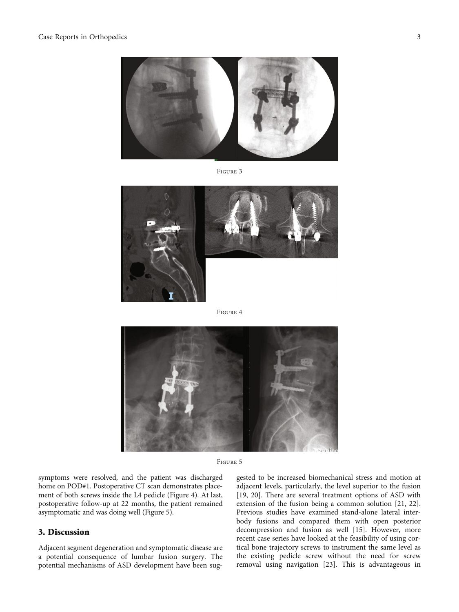# <span id="page-2-0"></span>Case Reports in Orthopedics 3



Figure <sup>3</sup>



Figure <sup>4</sup>



Figure <sup>5</sup>

symptoms were resolved, and the patient was discharged home on POD#1. Postoperative CT scan demonstrates placement of both screws inside the L4 pedicle (Figure 4). At last, postoperative follow-up at 22 months, the patient remained asymptomatic and was doing well (Figure 5).

#### 3. Discussion

Adjacent segment degeneration and symptomatic disease are a potential consequence of lumbar fusion surgery. The potential mechanisms of ASD development have been suggested to be increased biomechanical stress and motion at adjacent levels, particularly, the level superior to the fusion [\[19,](#page-3-0) [20\]](#page-4-0). There are several treatment options of ASD with extension of the fusion being a common solution [\[21, 22](#page-4-0)]. Previous studies have examined stand-alone lateral interbody fusions and compared them with open posterior decompression and fusion as well [\[15](#page-3-0)]. However, more recent case series have looked at the feasibility of using cortical bone trajectory screws to instrument the same level as the existing pedicle screw without the need for screw removal using navigation [[23](#page-4-0)]. This is advantageous in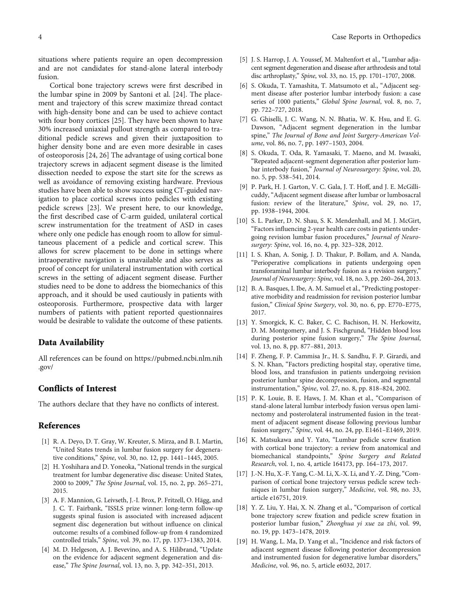<span id="page-3-0"></span>situations where patients require an open decompression and are not candidates for stand-alone lateral interbody fusion.

Cortical bone trajectory screws were first described in the lumbar spine in 2009 by Santoni et al. [\[24](#page-4-0)]. The placement and trajectory of this screw maximize thread contact with high-density bone and can be used to achieve contact with four bony cortices [\[25\]](#page-4-0). They have been shown to have 30% increased uniaxial pullout strength as compared to traditional pedicle screws and given their juxtaposition to higher density bone and are even more desirable in cases of osteoporosis [[24](#page-4-0), [26](#page-4-0)] The advantage of using cortical bone trajectory screws in adjacent segment disease is the limited dissection needed to expose the start site for the screws as well as avoidance of removing existing hardware. Previous studies have been able to show success using CT-guided navigation to place cortical screws into pedicles with existing pedicle screws [\[23\]](#page-4-0). We present here, to our knowledge, the first described case of C-arm guided, unilateral cortical screw instrumentation for the treatment of ASD in cases where only one pedicle has enough room to allow for simultaneous placement of a pedicle and cortical screw. This allows for screw placement to be done in settings where intraoperative navigation is unavailable and also serves as proof of concept for unilateral instrumentation with cortical screws in the setting of adjacent segment disease. Further studies need to be done to address the biomechanics of this approach, and it should be used cautiously in patients with osteoporosis. Furthermore, prospective data with larger numbers of patients with patient reported questionnaires would be desirable to validate the outcome of these patients.

#### Data Availability

All references can be found on [https://pubmed.ncbi.nlm.nih](https://pubmed.ncbi.nlm.nih.gov/) [.gov/](https://pubmed.ncbi.nlm.nih.gov/)

## Conflicts of Interest

The authors declare that they have no conflicts of interest.

#### References

- [1] R. A. Deyo, D. T. Gray, W. Kreuter, S. Mirza, and B. I. Martin, "United States trends in lumbar fusion surgery for degenerative conditions," Spine, vol. 30, no. 12, pp. 1441–1445, 2005.
- [2] H. Yoshihara and D. Yoneoka, "National trends in the surgical treatment for lumbar degenerative disc disease: United States, 2000 to 2009," The Spine Journal, vol. 15, no. 2, pp. 265–271, 2015.
- [3] A. F. Mannion, G. Leivseth, J.-I. Brox, P. Fritzell, O. Hägg, and J. C. T. Fairbank, "ISSLS prize winner: long-term follow-up suggests spinal fusion is associated with increased adjacent segment disc degeneration but without influence on clinical outcome: results of a combined follow-up from 4 randomized controlled trials," Spine, vol. 39, no. 17, pp. 1373–1383, 2014.
- [4] M. D. Helgeson, A. J. Bevevino, and A. S. Hilibrand, "Update on the evidence for adjacent segment degeneration and disease," The Spine Journal, vol. 13, no. 3, pp. 342–351, 2013.
- [5] J. S. Harrop, J. A. Youssef, M. Maltenfort et al., "Lumbar adjacent segment degeneration and disease after arthrodesis and total disc arthroplasty," Spine, vol. 33, no. 15, pp. 1701–1707, 2008.
- [6] S. Okuda, T. Yamashita, T. Matsumoto et al., "Adjacent segment disease after posterior lumbar interbody fusion: a case series of 1000 patients," Global Spine Journal, vol. 8, no. 7, pp. 722–727, 2018.
- [7] G. Ghiselli, J. C. Wang, N. N. Bhatia, W. K. Hsu, and E. G. Dawson, "Adjacent segment degeneration in the lumbar spine," The Journal of Bone and Joint Surgery-American Volume, vol. 86, no. 7, pp. 1497–1503, 2004.
- [8] S. Okuda, T. Oda, R. Yamasaki, T. Maeno, and M. Iwasaki, "Repeated adjacent-segment degeneration after posterior lumbar interbody fusion," Journal of Neurosurgery: Spine, vol. 20, no. 5, pp. 538–541, 2014.
- [9] P. Park, H. J. Garton, V. C. Gala, J. T. Hoff, and J. E. McGillicuddy, "Adjacent segment disease after lumbar or lumbosacral fusion: review of the literature," Spine, vol. 29, no. 17, pp. 1938–1944, 2004.
- [10] S. L. Parker, D. N. Shau, S. K. Mendenhall, and M. J. McGirt, "Factors influencing 2-year health care costs in patients undergoing revision lumbar fusion procedures," Journal of Neurosurgery: Spine, vol. 16, no. 4, pp. 323–328, 2012.
- [11] I. S. Khan, A. Sonig, J. D. Thakur, P. Bollam, and A. Nanda, "Perioperative complications in patients undergoing open transforaminal lumbar interbody fusion as a revision surgery," Journal of Neurosurgery: Spine, vol. 18, no. 3, pp. 260–264, 2013.
- [12] B. A. Basques, I. Ibe, A. M. Samuel et al., "Predicting postoperative morbidity and readmission for revision posterior lumbar fusion," Clinical Spine Surgery, vol. 30, no. 6, pp. E770–E775, 2017.
- [13] Y. Smorgick, K. C. Baker, C. C. Bachison, H. N. Herkowitz, D. M. Montgomery, and J. S. Fischgrund, "Hidden blood loss during posterior spine fusion surgery," The Spine Journal, vol. 13, no. 8, pp. 877–881, 2013.
- [14] F. Zheng, F. P. Cammisa Jr., H. S. Sandhu, F. P. Girardi, and S. N. Khan, "Factors predicting hospital stay, operative time, blood loss, and transfusion in patients undergoing revision posterior lumbar spine decompression, fusion, and segmental instrumentation," Spine, vol. 27, no. 8, pp. 818–824, 2002.
- [15] P. K. Louie, B. E. Haws, J. M. Khan et al., "Comparison of stand-alone lateral lumbar interbody fusion versus open laminectomy and posterolateral instrumented fusion in the treatment of adjacent segment disease following previous lumbar fusion surgery," Spine, vol. 44, no. 24, pp. E1461–E1469, 2019.
- [16] K. Matsukawa and Y. Yato, "Lumbar pedicle screw fixation with cortical bone trajectory: a review from anatomical and biomechanical standpoints," Spine Surgery and Related Research, vol. 1, no. 4, article 164173, pp. 164–173, 2017.
- [17] J.-N. Hu, X.-F. Yang, C.-M. Li, X.-X. Li, and Y.-Z. Ding, "Comparison of cortical bone trajectory versus pedicle screw techniques in lumbar fusion surgery," Medicine, vol. 98, no. 33, article e16751, 2019.
- [18] Y. Z. Liu, Y. Hai, X. N. Zhang et al., "Comparison of cortical bone trajectory screw fixation and pedicle screw fixation in posterior lumbar fusion," Zhonghua yi xue za zhi, vol. 99, no. 19, pp. 1473–1478, 2019.
- [19] H. Wang, L. Ma, D. Yang et al., "Incidence and risk factors of adjacent segment disease following posterior decompression and instrumented fusion for degenerative lumbar disorders," Medicine, vol. 96, no. 5, article e6032, 2017.